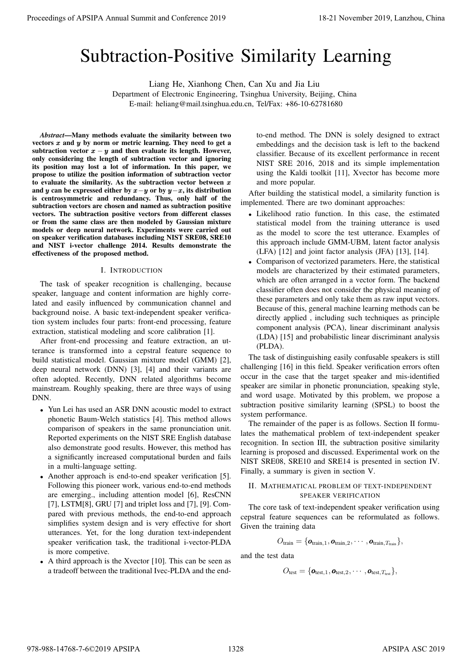# Subtraction-Positive Similarity Learning

Liang He, Xianhong Chen, Can Xu and Jia Liu

Department of Electronic Engineering, Tsinghua University, Beijing, China E-mail: heliang@mail.tsinghua.edu.cn, Tel/Fax: +86-10-62781680

*Abstract*—Many methods evaluate the similarity between two vectors  $x$  and  $y$  by norm or metric learning. They need to get a subtraction vector  $x - y$  and then evaluate its length. However, only considering the length of subtraction vector and ignoring its position may lost a lot of information. In this paper, we propose to utilize the position information of subtraction vector to evaluate the similarity. As the subtraction vector between  $x$ and y can be expressed either by  $x-y$  or by  $y-x$ , its distribution is centrosymmetric and redundancy. Thus, only half of the subtraction vectors are chosen and named as subtraction positive vectors. The subtraction positive vectors from different classes or from the same class are then modeled by Gaussian mixture models or deep neural network. Experiments were carried out on speaker verification databases including NIST SRE08, SRE10 and NIST i-vector challenge 2014. Results demonstrate the effectiveness of the proposed method. **Proceedings of APSIPA Annual Summit and Conference 2019**<br> **Subdivident). Summit and the system of Conference 2019**<br> **Summit and Conference 2019**<br> **Proceedings on the system of the system of the system of the system of th** 

## I. INTRODUCTION

The task of speaker recognition is challenging, because speaker, language and content information are highly correlated and easily influenced by communication channel and background noise. A basic text-independent speaker verification system includes four parts: front-end processing, feature extraction, statistical modeling and score calibration [1].

After front-end processing and feature extraction, an utterance is transformed into a cepstral feature sequence to build statistical model. Gaussian mixture model (GMM) [2], deep neural network (DNN) [3], [4] and their variants are often adopted. Recently, DNN related algorithms become mainstream. Roughly speaking, there are three ways of using DNN.

- Yun Lei has used an ASR DNN acoustic model to extract phonetic Baum-Welch statistics [4]. This method allows comparison of speakers in the same pronunciation unit. Reported experiments on the NIST SRE English database also demonstrate good results. However, this method has a significantly increased computational burden and fails in a multi-language setting.
- Another approach is end-to-end speaker verification [5]. Following this pioneer work, various end-to-end methods are emerging., including attention model [6], ResCNN [7], LSTM[8], GRU [7] and triplet loss and [7], [9]. Compared with previous methods, the end-to-end approach simplifies system design and is very effective for short utterances. Yet, for the long duration text-independent speaker verification task, the traditional i-vector-PLDA is more competive.
- A third approach is the Xvector [10]. This can be seen as a tradeoff between the traditional Ivec-PLDA and the end-

to-end method. The DNN is solely designed to extract embeddings and the decision task is left to the backend classifier. Because of its excellent performance in recent NIST SRE 2016, 2018 and its simple implementation using the Kaldi toolkit [11], Xvector has become more and more popular.

After building the statistical model, a similarity function is implemented. There are two dominant approaches:

- Likelihood ratio function. In this case, the estimated statistical model from the training utterance is used as the model to score the test utterance. Examples of this approach include GMM-UBM, latent factor analysis (LFA) [12] and joint factor analysis (JFA) [13], [14].
- Comparison of vectorized parameters. Here, the statistical models are characterized by their estimated parameters, which are often arranged in a vector form. The backend classifier often does not consider the physical meaning of these parameters and only take them as raw input vectors. Because of this, general machine learning methods can be directly applied , including such techniques as principle component analysis (PCA), linear discriminant analysis (LDA) [15] and probabilistic linear discriminant analysis (PLDA).

The task of distinguishing easily confusable speakers is still challenging [16] in this field. Speaker verification errors often occur in the case that the target speaker and mis-identified speaker are similar in phonetic pronunciation, speaking style, and word usage. Motivated by this problem, we propose a subtraction positive similarity learning (SPSL) to boost the system performance.

The remainder of the paper is as follows. Section II formulates the mathematical problem of text-independent speaker recognition. In section III, the subtraction positive similarity learning is proposed and discussed. Experimental work on the NIST SRE08, SRE10 and SRE14 is presented in section IV. Finally, a summary is given in section V.

## II. MATHEMATICAL PROBLEM OF TEXT-INDEPENDENT SPEAKER VERIFICATION

The core task of text-independent speaker verification using cepstral feature sequences can be reformulated as follows. Given the training data

$$
O_{\text{train}} = \{o_{\text{train},1}, o_{\text{train},2}, \cdots, o_{\text{train},T_{\text{train}}}\},
$$

and the test data

$$
O_{\text{test}} = \{ \mathbf{o}_{\text{test},1}, \mathbf{o}_{\text{test},2}, \cdots, \mathbf{o}_{\text{test},T_{\text{test}}} \},
$$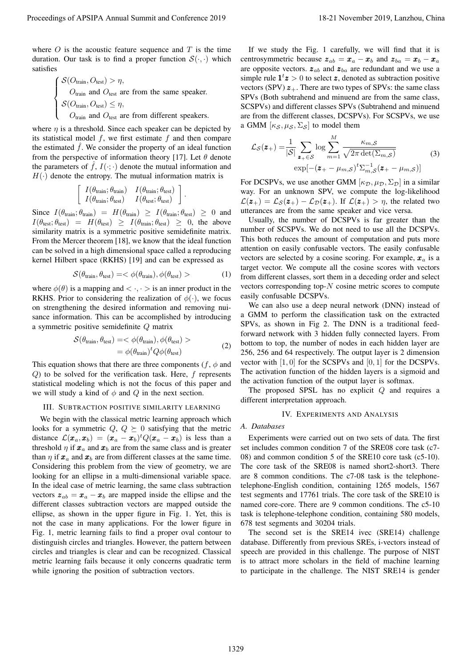where  $O$  is the acoustic feature sequence and  $T$  is the time duration. Our task is to find a proper function  $S(\cdot, \cdot)$  which satisfies

$$
\begin{cases}\n\mathcal{S}(O_{\text{train}}, O_{\text{test}}) > \eta, \\
O_{\text{train}} \text{ and } O_{\text{test}} \text{ are from the same speaker.} \\
\mathcal{S}(O_{\text{train}}, O_{\text{test}}) \leq \eta, \\
O_{\text{train}} \text{ and } O_{\text{test}} \text{ are from different speakers.}\n\end{cases}
$$

where  $\eta$  is a threshold. Since each speaker can be depicted by its statistical model  $f$ , we first estimate  $f$  and then compare the estimated  $\hat{f}$ . We consider the property of an ideal function from the perspective of information theory [17]. Let  $\theta$  denote the parameters of  $\hat{f}$ ,  $I(\cdot;\cdot)$  denote the mutual information and  $H(\cdot)$  denote the entropy. The mutual information matrix is

$$
\left[ \begin{array}{cc} I(\theta_{\text{train}}; \theta_{\text{train}}) & I(\theta_{\text{train}}; \theta_{\text{test}}) \\ I(\theta_{\text{train}}; \theta_{\text{test}}) & I(\theta_{\text{test}}; \theta_{\text{test}}) \end{array} \right].
$$

Since  $I(\theta_{\text{train}}; \theta_{\text{train}}) = H(\theta_{\text{train}}) \ge I(\theta_{\text{train}}; \theta_{\text{test}}) \ge 0$  and  $I(\theta_{\text{test}}; \theta_{\text{test}}) = H(\theta_{\text{test}}) \geq I(\theta_{\text{train}}; \theta_{\text{test}}) \geq 0$ , the above similarity matrix is a symmetric positive semidefinite matrix. From the Mercer theorem [18], we know that the ideal function can be solved in a high dimensional space called a reproducing kernel Hilbert space (RKHS) [19] and can be expressed as

$$
\mathcal{S}(\theta_{\text{train}}, \theta_{\text{test}}) = \langle \phi(\theta_{\text{train}}), \phi(\theta_{\text{test}}) \rangle \tag{1}
$$

where  $\phi(\theta)$  is a mapping and  $\langle \cdot, \cdot \rangle$  is an inner product in the RKHS. Prior to considering the realization of  $\phi(\cdot)$ , we focus on strengthening the desired information and removing nuisance information. This can be accomplished by introducing a symmetric positive semidefinite Q matrix

$$
S(\theta_{\text{train}}, \theta_{\text{test}}) = <\phi(\theta_{\text{train}}), \phi(\theta_{\text{test}}) >
$$
  
=  $\phi(\theta_{\text{train}})^t Q \phi(\theta_{\text{test}})$  (2)

This equation shows that there are three components ( $f$ ,  $\phi$  and Q) to be solved for the verification task. Here, f represents statistical modeling which is not the focus of this paper and we will study a kind of  $\phi$  and  $Q$  in the next section.

#### III. SUBTRACTION POSITIVE SIMILARITY LEARNING

We begin with the classical metric learning approach which looks for a symmetric  $Q, Q \succeq 0$  satisfying that the metric distance  $\mathcal{L}(\pmb{x}_a,\pmb{x}_b) = (\pmb{x}_a-\pmb{x}_b)^t Q(\pmb{x}_a-\pmb{x}_b)$  is less than a threshold  $\eta$  if  $\mathbf{x}_a$  and  $\mathbf{x}_b$  are from the same class and is greater than  $\eta$  if  $x_a$  and  $x_b$  are from different classes at the same time. Considering this problem from the view of geometry, we are looking for an ellipse in a multi-dimensional variable space. In the ideal case of metric learning, the same class subtraction vectors  $z_{ab} = x_a - x_b$  are mapped inside the ellipse and the different classes subtraction vectors are mapped outside the ellipse, as shown in the upper figure in Fig. 1. Yet, this is not the case in many applications. For the lower figure in Fig. 1, metric learning fails to find a proper oval contour to distinguish circles and triangles. However, the pattern between circles and triangles is clear and can be recognized. Classical metric learning fails because it only concerns quadratic term while ignoring the position of subtraction vectors. Proceedings of APSIPA Annual Summit at China 19-21 November 2019, Lanzhou, China 2019, Lanzhou, China 2019, Lanzhou, China 2019, Lanzhou, China 2019, Lanzhou, China 2019, Lanzhou, China 2019, Lanzhou, China 2019, Lanzhou,

If we study the Fig. 1 carefully, we will find that it is centrosymmetric because  $z_{ab} = x_a - x_b$  and  $z_{ba} = x_b - x_a$ are opposite vectors.  $z_{ab}$  and  $z_{ba}$  are redundant and we use a simple rule  $1^t z > 0$  to select z, denoted as subtraction positive vectors (SPV)  $z_{+}$ . There are two types of SPVs: the same class SPVs (Both subtrahend and minuend are from the same class, SCSPVs) and different classes SPVs (Subtrahend and minuend are from the different classes, DCSPVs). For SCSPVs, we use a GMM  $[\kappa_S, \mu_S, \Sigma_S]$  to model them

$$
\mathcal{L}_{\mathcal{S}}(\mathbf{z}_{+}) = \frac{1}{|\mathcal{S}|} \sum_{\mathbf{z}_{+} \in \mathcal{S}} \log \sum_{m=1}^{M} \frac{\kappa_{m,\mathcal{S}}}{\sqrt{2\pi \det(\Sigma_{m,\mathcal{S}})}} \tag{3}
$$

$$
\exp[-(\mathbf{z}_{+} - \mu_{m,\mathcal{S}})^{t} \Sigma_{m,\mathcal{S}}^{-1}(\mathbf{z}_{+} - \mu_{m,\mathcal{S}})]
$$

For DCSPVs, we use another GMM  $[\kappa_{\mathcal{D}}, \mu_{\mathcal{D}}, \Sigma_{\mathcal{D}}]$  in a similar way. For an unknown SPV, we compute the log-likelihood  $\mathcal{L}(\mathbf{z}_+) = \mathcal{L}_{\mathcal{S}}(\mathbf{z}_+) - \mathcal{L}_{\mathcal{D}}(\mathbf{z}_+)$ . If  $\mathcal{L}(\mathbf{z}_+) > \eta$ , the related two utterances are from the same speaker and vice versa.

Usually, the number of DCSPVs is far greater than the number of SCSPVs. We do not need to use all the DCSPVs. This both reduces the amount of computation and puts more attention on easily confusable vectors. The easily confusable vectors are selected by a cosine scoring. For example,  $x_a$  is a target vector. We compute all the cosine scores with vectors from different classes, sort them in a deceding order and select vectors corresponding top- $N$  cosine metric scores to compute easily confusable DCSPVs.

We can also use a deep neural network (DNN) instead of a GMM to perform the classification task on the extracted SPVs, as shown in Fig 2. The DNN is a traditional feedforward network with 3 hidden fully connected layers. From bottom to top, the number of nodes in each hidden layer are 256, 256 and 64 respectively. The output layer is 2 dimension vector with  $[1, 0]$  for the SCSPVs and  $[0, 1]$  for the DCSPVs. The activation function of the hidden layers is a sigmoid and the activation function of the output layer is softmax.

The proposed SPSL has no explicit  $Q$  and requires a different interpretation approach.

#### IV. EXPERIMENTS AND ANALYSIS

#### *A. Databases*

Experiments were carried out on two sets of data. The first set includes common condition 7 of the SRE08 core task (c7- 08) and common condition 5 of the SRE10 core task (c5-10). The core task of the SRE08 is named short2-short3. There are 8 common conditions. The c7-08 task is the telephonetelephone-English condition, containing 1265 models, 1567 test segments and 17761 trials. The core task of the SRE10 is named core-core. There are 9 common conditions. The c5-10 task is telephone-telephone condition, containing 580 models, 678 test segments and 30204 trials.

The second set is the SRE14 ivec (SRE14) challenge database. Differently from previous SREs, i-vectors instead of speech are provided in this challenge. The purpose of NIST is to attract more scholars in the field of machine learning to participate in the challenge. The NIST SRE14 is gender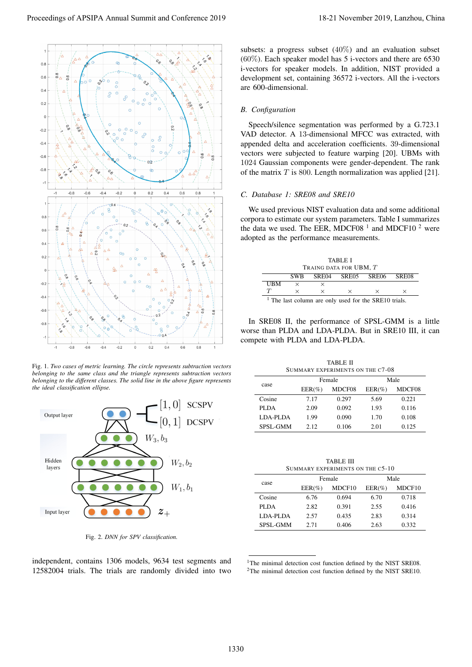

Fig. 1. *Two cases of metric learning. The circle represents subtraction vectors belonging to the same class and the triangle represents subtraction vectors belonging to the different classes. The solid line in the above figure represents the ideal classification ellipse.*



Fig. 2. *DNN for SPV classification.*

independent, contains 1306 models, 9634 test segments and 12582004 trials. The trials are randomly divided into two subsets: a progress subset (40%) and an evaluation subset (60%). Each speaker model has 5 i-vectors and there are 6530 i-vectors for speaker models. In addition, NIST provided a development set, containing 36572 i-vectors. All the i-vectors are 600-dimensional.

# *B. Configuration*

Speech/silence segmentation was performed by a G.723.1 VAD detector. A 13-dimensional MFCC was extracted, with appended delta and acceleration coefficients. 39-dimensional vectors were subjected to feature warping [20]. UBMs with 1024 Gaussian components were gender-dependent. The rank of the matrix  $T$  is 800. Length normalization was applied [21].

## *C. Database 1: SRE08 and SRE10*

We used previous NIST evaluation data and some additional corpora to estimate our system parameters. Table I summarizes the data we used. The EER, MDCF08<sup> $1$ </sup> and MDCF10<sup> $2$ </sup> were adopted as the performance measurements.

|                                                                  | TABLE I<br>TRAING DATA FOR UBM, T |          |                   |   |       |  |
|------------------------------------------------------------------|-----------------------------------|----------|-------------------|---|-------|--|
|                                                                  | <b>SWB</b>                        |          | SRE04 SRE05 SRE06 |   | SRE08 |  |
| UBM                                                              | $\times$                          |          |                   |   |       |  |
|                                                                  | $\times$                          | $\times$ | $\times$          | × |       |  |
| <sup>1</sup> The last column are only used for the SRE10 trials. |                                   |          |                   |   |       |  |

In SRE08 II, the performance of SPSL-GMM is a little worse than PLDA and LDA-PLDA. But in SRE10 III, it can compete with PLDA and LDA-PLDA.

| TABLE II                         |
|----------------------------------|
| SUMMARY EXPERIMENTS ON THE C7-08 |
|                                  |

| case     | Female    |        | Male      |        |
|----------|-----------|--------|-----------|--------|
|          | $EER(\%)$ | MDCF08 | $EER(\%)$ | MDCF08 |
| Cosine   | 7.17      | 0.297  | 5.69      | 0.221  |
| PLDA     | 2.09      | 0.092  | 1.93      | 0.116  |
| LDA-PLDA | 1.99      | 0.090  | 1.70      | 0.108  |
| SPSL-GMM | 2.12.     | 0.106  | 2.01      | 0.125  |

| <b>TABLE III</b>                 |
|----------------------------------|
| SUMMARY EXPERIMENTS ON THE C5-10 |

|          | Female    |                    | Male      |        |
|----------|-----------|--------------------|-----------|--------|
| case     | $EER(\%)$ | MDCF <sub>10</sub> | $EER(\%)$ | MDCF10 |
| Cosine   | 6.76      | 0.694              | 6.70      | 0.718  |
| PLDA     | 2.82      | 0.391              | 2.55      | 0.416  |
| LDA-PLDA | 2.57      | 0.435              | 2.83      | 0.314  |
| SPSL-GMM | 2.71      | 0.406              | 2.63      | 0.332  |

<sup>1</sup>The minimal detection cost function defined by the NIST SRE08. <sup>2</sup>The minimal detection cost function defined by the NIST SRE10.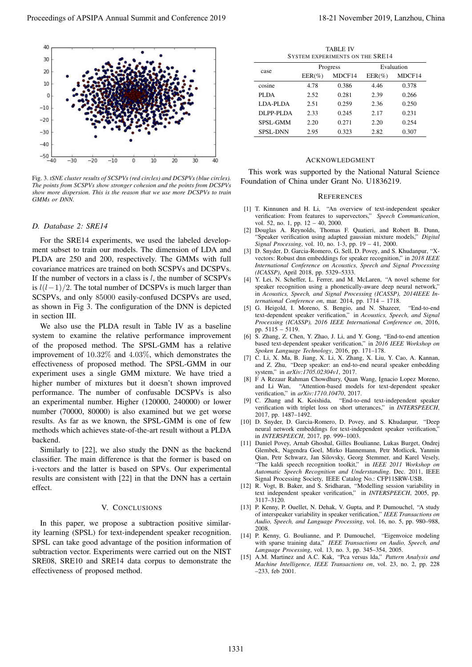

Fig. 3. *tSNE cluster results of SCSPVs (red circles) and DCSPVs (blue circles). The points from SCSPVs show stronger cohesion and the points from DCSPVs show more dispersion. This is the reason that we use more DCSPVs to train GMMs or DNN.*

## *D. Database 2: SRE14*

For the SRE14 experiments, we used the labeled development subset to train our models. The dimension of LDA and PLDA are 250 and 200, respectively. The GMMs with full covariance matrices are trained on both SCSPVs and DCSPVs. If the number of vectors in a class is  $l$ , the number of SCSPVs is  $l(l-1)/2$ . The total number of DCSPVs is much larger than SCSPVs, and only 85000 easily-confused DCSPVs are used, as shown in Fig 3. The configuration of the DNN is depicted in section III.

We also use the PLDA result in Table IV as a baseline system to examine the relative performance improvement of the proposed method. The SPSL-GMM has a relative improvement of 10.32% and 4.03%, which demonstrates the effectiveness of proposed method. The SPSL-GMM in our experiment uses a single GMM mixture. We have tried a higher number of mixtures but it doesn't shown improved performance. The number of confusable DCSPVs is also an experimental number. Higher (120000, 240000) or lower number (70000, 80000) is also examined but we get worse results. As far as we known, the SPSL-GMM is one of few methods which achieves state-of-the-art result without a PLDA backend.

Similarly to [22], we also study the DNN as the backend classifier. The main difference is that the former is based on i-vectors and the latter is based on SPVs. Our experimental results are consistent with [22] in that the DNN has a certain effect.

# V. CONCLUSIONS

In this paper, we propose a subtraction positive similarity learning (SPSL) for text-independent speaker recognition. SPSL can take good advantage of the position information of subtraction vector. Experiments were carried out on the NIST SRE08, SRE10 and SRE14 data corpus to demonstrate the effectiveness of proposed method.

| <b>TABLE IV</b><br><b>SYSTEM EXPERIMENTS ON THE SRE14</b> |           |        |            |        |
|-----------------------------------------------------------|-----------|--------|------------|--------|
|                                                           | Progress  |        | Evaluation |        |
| case                                                      | $EER(\%)$ | MDCF14 | $EER(\%)$  | MDCF14 |
| cosine                                                    | 4.78      | 0.386  | 4.46       | 0.378  |
| PLDA                                                      | 2.52      | 0.281  | 2.39       | 0.266  |
| LDA-PLDA                                                  | 2.51      | 0.259  | 2.36       | 0.250  |
| DLPP-PLDA                                                 | 2.33      | 0.245  | 2.17       | 0.231  |
| <b>SPSL-GMM</b>                                           | 2.20      | 0.271  | 2.20       | 0.254  |
| <b>SPSL-DNN</b>                                           | 2.95      | 0.323  | 2.82       | 0.307  |

#### ACKNOWLEDGMENT

This work was supported by the National Natural Science Foundation of China under Grant No. U1836219.

#### **REFERENCES**

- [1] T. Kinnunen and H. Li, "An overview of text-independent speaker verification: From features to supervectors," *Speech Communication*, vol. 52, no. 1, pp. 12 – 40, 2000.
- [2] Douglas A. Reynolds, Thomas F. Quatieri, and Robert B. Dunn, "Speaker verification using adapted gaussian mixture models," *Digital Signal Processing*, vol. 10, no. 1-3, pp. 19 – 41, 2000.
- [3] D. Snyder, D. Garcia-Romero, G. Sell, D. Povey, and S. Khudanpur, "Xvectors: Robust dnn embeddings for speaker recognition," in *2018 IEEE International Conference on Acoustics, Speech and Signal Processing (ICASSP)*, April 2018, pp. 5329–5333.
- [4] Y. Lei, N. Scheffer, L. Ferrer, and M. McLaren, "A novel scheme for speaker recognition using a phonetically-aware deep neural network," in *Acoustics, Speech, and Signal Processing (ICASSP), 2014IEEE International Conference on*, mar. 2014, pp. 1714 – 1718.
- [5] G. Heigold, I. Moreno, S. Bengio, and N. Shazeer, "End-to-end text-dependent speaker verification," in *Acoustics, Speech, and Signal Processing (ICASSP), 2016 IEEE International Conference on*, 2016, pp. 5115 – 5119.
- [6] S. Zhang, Z. Chen, Y. Zhao, J. Li, and Y. Gong, "End-to-end attention based text-dependent speaker verification," in *2016 IEEE Workshop on Spoken Language Technology*, 2016, pp. 171–178.
- [7] C. Li, X. Ma, B. Jiang, X. Li, X. Zhang, X. Liu, Y. Cao, A. Kannan, and Z. Zhu, "Deep speaker: an end-to-end neural speaker embedding system," in *arXiv:1705.02304v1*, 2017.
- [8] F A Rezaur Rahman Chowdhury, Quan Wang, Ignacio Lopez Moreno, and Li Wan, "Attention-based models for text-dependent speaker verification," in *arXiv:1710.10470*, 2017.
- [9] C. Zhang and K. Koishida, "End-to-end text-independent speaker verification with triplet loss on short utterances," in *INTERSPEECH*, 2017, pp. 1487–1492.
- [10] D. Snyder, D. Garcia-Romero, D. Povey, and S. Khudanpur, "Deep neural network embeddings for text-independent speaker verification, in *INTERSPEECH*, 2017, pp. 999–1003.
- [11] Daniel Povey, Arnab Ghoshal, Gilles Boulianne, Lukas Burget, Ondrej Glembek, Nagendra Goel, Mirko Hannemann, Petr Motlicek, Yanmin Qian, Petr Schwarz, Jan Silovsky, Georg Stemmer, and Karel Vesely, "The kaldi speech recognition toolkit," in *IEEE 2011 Workshop on Automatic Speech Recognition and Understanding*. Dec. 2011, IEEE Signal Processing Society, IEEE Catalog No.: CFP11SRW-USB.
- [12] R. Vogt, B. Baker, and S. Sridharan, "Modelling session variability in text independent speaker verification," in *INTERSPEECH*, 2005, pp. 3117–3120.
- [13] P. Kenny, P. Ouellet, N. Dehak, V. Gupta, and P. Dumouchel, "A study of interspeaker variability in speaker verification," *IEEE Transactions on Audio, Speech, and Language Processing*, vol. 16, no. 5, pp. 980–988, 2008.
- [14] P. Kenny, G. Boulianne, and P. Dumouchel, "Eigenvoice modeling with sparse training data," *IEEE Transactions on Audio, Speech, and Language Processing*, vol. 13, no. 3, pp. 345–354, 2005.
- [15] A.M. Martinez and A.C. Kak, "Pca versus lda," *Pattern Analysis and Machine Intelligence, IEEE Transactions on*, vol. 23, no. 2, pp. 228 –233, feb 2001.